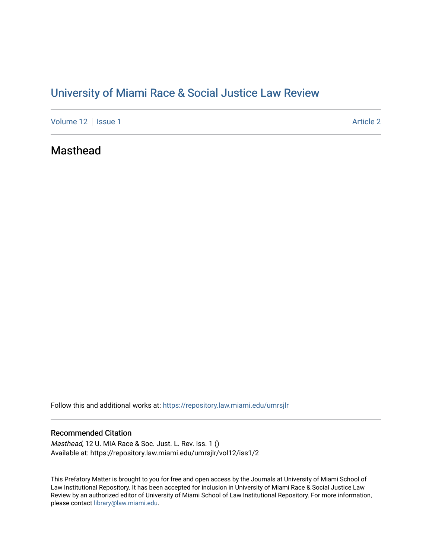# [University of Miami Race & Social Justice Law Review](https://repository.law.miami.edu/umrsjlr)

[Volume 12](https://repository.law.miami.edu/umrsjlr/vol12) | [Issue 1](https://repository.law.miami.edu/umrsjlr/vol12/iss1) Article 2

# Masthead

Follow this and additional works at: [https://repository.law.miami.edu/umrsjlr](https://repository.law.miami.edu/umrsjlr?utm_source=repository.law.miami.edu%2Fumrsjlr%2Fvol12%2Fiss1%2F2&utm_medium=PDF&utm_campaign=PDFCoverPages)

### Recommended Citation

Masthead, 12 U. MIA Race & Soc. Just. L. Rev. Iss. 1 () Available at: https://repository.law.miami.edu/umrsjlr/vol12/iss1/2

This Prefatory Matter is brought to you for free and open access by the Journals at University of Miami School of Law Institutional Repository. It has been accepted for inclusion in University of Miami Race & Social Justice Law Review by an authorized editor of University of Miami School of Law Institutional Repository. For more information, please contact [library@law.miami.edu.](mailto:library@law.miami.edu)